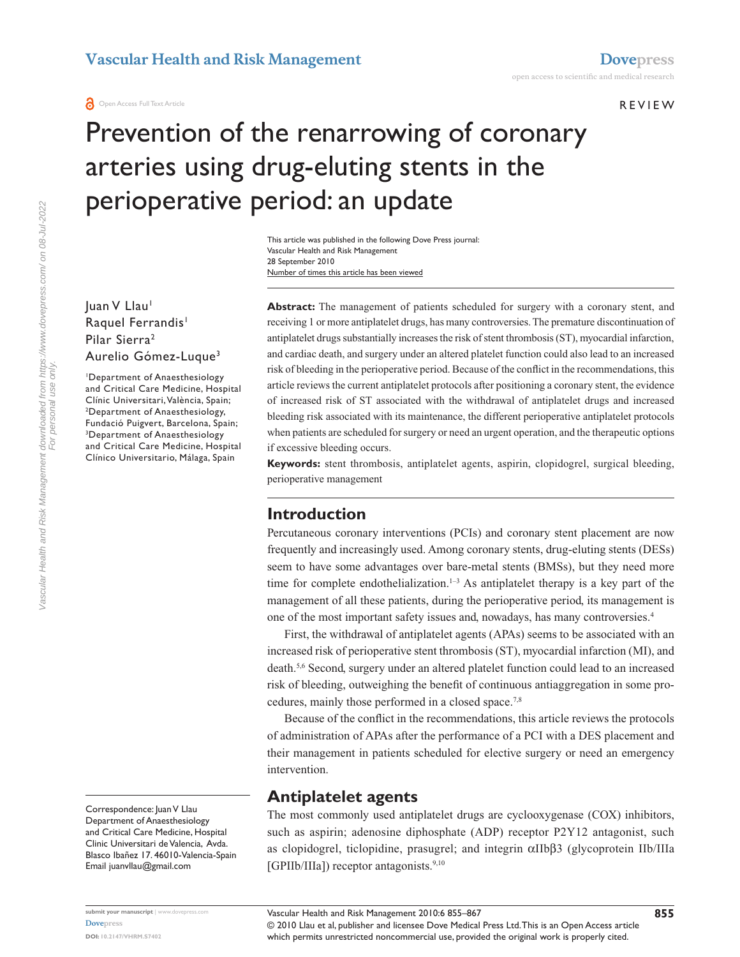#### R e v iew

# Prevention of the renarrowing of coronary arteries using drug-eluting stents in the perioperative period: an update

Number of times this article has been viewed This article was published in the following Dove Press journal: Vascular Health and Risk Management 28 September 2010

Juan V Llau<sup>1</sup> Raquel Ferrandis<sup>1</sup> Pilar Sierra2 Aurelio Gómez-Luque3

1 Department of Anaesthesiology and Critical Care Medicine, Hospital Clínic Universitari, València, Spain; 2 Department of Anaesthesiology, Fundació Puigvert, Barcelona, Spain; 3 Department of Anaesthesiology and Critical Care Medicine, Hospital Clínico Universitario, Málaga, Spain

Correspondence: Juan V Llau Department of Anaesthesiology and Critical Care Medicine, Hospital Clinic Universitari de Valencia, Avda. Blasco Ibañez 17. 46010-Valencia-Spain Email juanvllau@gmail.com

**Abstract:** The management of patients scheduled for surgery with a coronary stent, and receiving 1 or more antiplatelet drugs, has many controversies. The premature discontinuation of antiplatelet drugs substantially increases the risk of stent thrombosis (ST), myocardial infarction, and cardiac death, and surgery under an altered platelet function could also lead to an increased risk of bleeding in the perioperative period. Because of the conflict in the recommendations, this article reviews the current antiplatelet protocols after positioning a coronary stent, the evidence of increased risk of ST associated with the withdrawal of antiplatelet drugs and increased bleeding risk associated with its maintenance, the different perioperative antiplatelet protocols when patients are scheduled for surgery or need an urgent operation, and the therapeutic options if excessive bleeding occurs.

**Keywords:** stent thrombosis, antiplatelet agents, aspirin, clopidogrel, surgical bleeding, perioperative management

### **Introduction**

Percutaneous coronary interventions (PCIs) and coronary stent placement are now frequently and increasingly used. Among coronary stents, drug-eluting stents (DESs) seem to have some advantages over bare-metal stents (BMSs), but they need more time for complete endothelialization.<sup>1-3</sup> As antiplatelet therapy is a key part of the management of all these patients, during the perioperative period, its management is one of the most important safety issues and, nowadays, has many controversies.4

First, the withdrawal of antiplatelet agents (APAs) seems to be associated with an increased risk of perioperative stent thrombosis (ST), myocardial infarction (MI), and death.5,6 Second, surgery under an altered platelet function could lead to an increased risk of bleeding, outweighing the benefit of continuous antiaggregation in some procedures, mainly those performed in a closed space.7,8

Because of the conflict in the recommendations, this article reviews the protocols of administration of APAs after the performance of a PCI with a DES placement and their management in patients scheduled for elective surgery or need an emergency intervention.

### **Antiplatelet agents**

The most commonly used antiplatelet drugs are cyclooxygenase (COX) inhibitors, such as aspirin; adenosine diphosphate (ADP) receptor P2Y12 antagonist, such as clopidogrel, ticlopidine, prasugrel; and integrin αIIbβ3 (glycoprotein IIb/IIIa [GPIIb/IIIa]) receptor antagonists.<sup>9,10</sup>

Vascular Health and Risk Management downloaded from https://www.dovepress.com/ on 08-Jul-2022 For personal use only.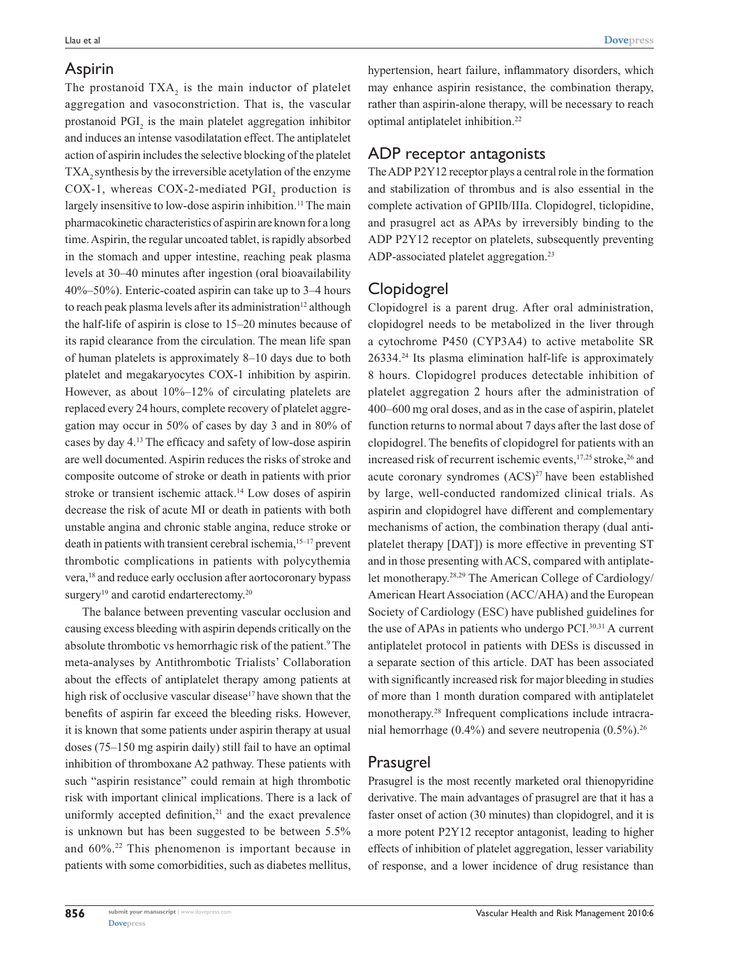Llau et al

The prostanoid  $TXA_2$  is the main inductor of platelet aggregation and vasoconstriction. That is, the vascular prostanoid  $PGI_2$  is the main platelet aggregation inhibitor and induces an intense vasodilatation effect. The antiplatelet action of aspirin includes the selective blocking of the platelet TXA<sub>2</sub> synthesis by the irreversible acetylation of the enzyme COX-1, whereas COX-2-mediated  $PGI_2$  production is largely insensitive to low-dose aspirin inhibition.<sup>11</sup> The main pharmacokinetic characteristics of aspirin are known for a long time. Aspirin, the regular uncoated tablet, is rapidly absorbed in the stomach and upper intestine, reaching peak plasma levels at 30–40 minutes after ingestion (oral bioavailability 40%–50%). Enteric-coated aspirin can take up to 3–4 hours to reach peak plasma levels after its administration<sup>12</sup> although the half-life of aspirin is close to 15–20 minutes because of its rapid clearance from the circulation. The mean life span of human platelets is approximately 8–10 days due to both platelet and megakaryocytes COX-1 inhibition by aspirin. However, as about 10%–12% of circulating platelets are replaced every 24 hours, complete recovery of platelet aggregation may occur in 50% of cases by day 3 and in 80% of cases by day 4.13 The efficacy and safety of low-dose aspirin are well documented. Aspirin reduces the risks of stroke and composite outcome of stroke or death in patients with prior stroke or transient ischemic attack.14 Low doses of aspirin decrease the risk of acute MI or death in patients with both unstable angina and chronic stable angina, reduce stroke or death in patients with transient cerebral ischemia,<sup>15-17</sup> prevent thrombotic complications in patients with polycythemia vera,<sup>18</sup> and reduce early occlusion after aortocoronary bypass surgery<sup>19</sup> and carotid endarterectomy.<sup>20</sup>

The balance between preventing vascular occlusion and causing excess bleeding with aspirin depends critically on the absolute thrombotic vs hemorrhagic risk of the patient.<sup>9</sup> The meta-analyses by Antithrombotic Trialists' Collaboration about the effects of antiplatelet therapy among patients at high risk of occlusive vascular disease<sup>17</sup> have shown that the benefits of aspirin far exceed the bleeding risks. However, it is known that some patients under aspirin therapy at usual doses (75–150 mg aspirin daily) still fail to have an optimal inhibition of thromboxane A2 pathway. These patients with such "aspirin resistance" could remain at high thrombotic risk with important clinical implications. There is a lack of uniformly accepted definition, $21$  and the exact prevalence is unknown but has been suggested to be between 5.5% and 60%.22 This phenomenon is important because in patients with some comorbidities, such as diabetes mellitus,

hypertension, heart failure, inflammatory disorders, which may enhance aspirin resistance, the combination therapy, rather than aspirin-alone therapy, will be necessary to reach optimal antiplatelet inhibition.22

### ADP receptor antagonists

The ADP P2Y12 receptor plays a central role in the formation and stabilization of thrombus and is also essential in the complete activation of GPIIb/IIIa. Clopidogrel, ticlopidine, and prasugrel act as APAs by irreversibly binding to the ADP P2Y12 receptor on platelets, subsequently preventing ADP-associated platelet aggregation.<sup>23</sup>

### Clopidogrel

Clopidogrel is a parent drug. After oral administration, clopidogrel needs to be metabolized in the liver through a cytochrome P450 (CYP3A4) to active metabolite SR 26334.24 Its plasma elimination half-life is approximately 8 hours. Clopidogrel produces detectable inhibition of platelet aggregation 2 hours after the administration of 400–600 mg oral doses, and as in the case of aspirin, platelet function returns to normal about 7 days after the last dose of clopidogrel. The benefits of clopidogrel for patients with an increased risk of recurrent ischemic events,<sup>17,25</sup> stroke,<sup>26</sup> and acute coronary syndromes  $(ACS)^{27}$  have been established by large, well-conducted randomized clinical trials. As aspirin and clopidogrel have different and complementary mechanisms of action, the combination therapy (dual antiplatelet therapy [DAT]) is more effective in preventing ST and in those presenting with ACS, compared with antiplatelet monotherapy.28,29 The American College of Cardiology/ American Heart Association (ACC/AHA) and the European Society of Cardiology (ESC) have published guidelines for the use of APAs in patients who undergo PCI. $30,31$  A current antiplatelet protocol in patients with DESs is discussed in a separate section of this article. DAT has been associated with significantly increased risk for major bleeding in studies of more than 1 month duration compared with antiplatelet monotherapy.28 Infrequent complications include intracranial hemorrhage  $(0.4\%)$  and severe neutropenia  $(0.5\%)$ .<sup>26</sup>

### Prasugrel

Prasugrel is the most recently marketed oral thienopyridine derivative. The main advantages of prasugrel are that it has a faster onset of action (30 minutes) than clopidogrel, and it is a more potent P2Y12 receptor antagonist, leading to higher effects of inhibition of platelet aggregation, lesser variability of response, and a lower incidence of drug resistance than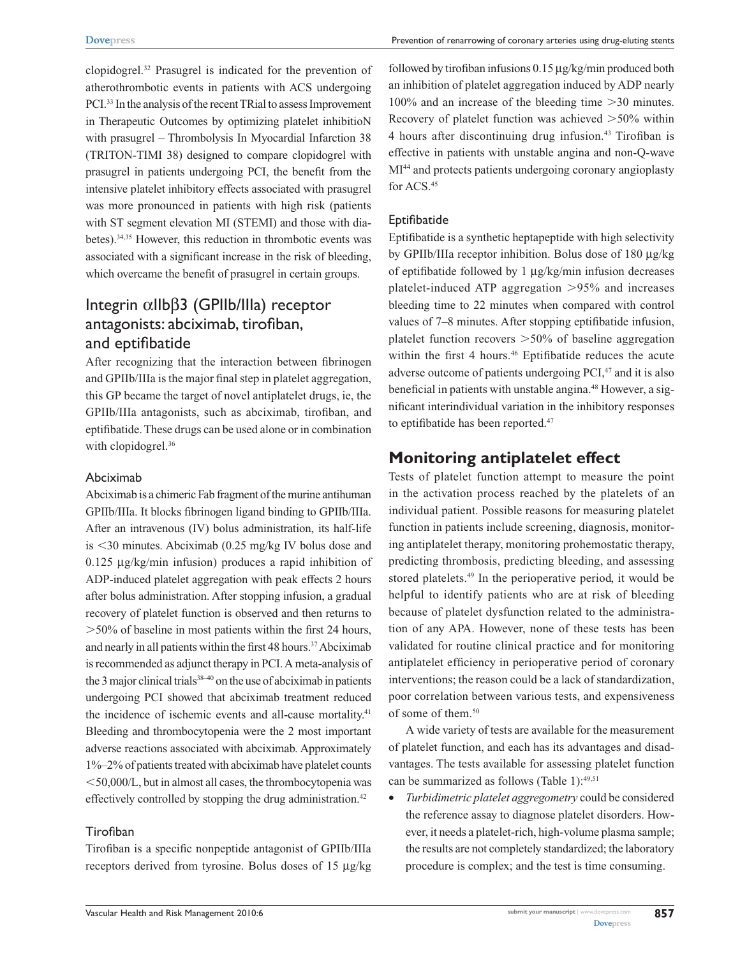clopidogrel.32 Prasugrel is indicated for the prevention of atherothrombotic events in patients with ACS undergoing PCI.33 In the analysis of the recent TRial to assess Improvement in Therapeutic Outcomes by optimizing platelet inhibitioN with prasugrel – Thrombolysis In Myocardial Infarction 38 (TRITON-TIMI 38) designed to compare clopidogrel with prasugrel in patients undergoing PCI, the benefit from the intensive platelet inhibitory effects associated with prasugrel was more pronounced in patients with high risk (patients with ST segment elevation MI (STEMI) and those with diabetes).34,35 However, this reduction in thrombotic events was associated with a significant increase in the risk of bleeding, which overcame the benefit of prasugrel in certain groups.

# Integrin αIIbβ3 (GPIIb/IIIa) receptor antagonists: abciximab, tirofiban, and eptifibatide

After recognizing that the interaction between fibrinogen and GPIIb/IIIa is the major final step in platelet aggregation, this GP became the target of novel antiplatelet drugs, ie, the GPIIb/IIIa antagonists, such as abciximab, tirofiban, and eptifibatide. These drugs can be used alone or in combination with clopidogrel.<sup>36</sup>

#### Abciximab

Abciximab is a chimeric Fab fragment of the murine antihuman GPIIb/IIIa. It blocks fibrinogen ligand binding to GPIIb/IIIa. After an intravenous (IV) bolus administration, its half-life is  $\leq$ 30 minutes. Abciximab (0.25 mg/kg IV bolus dose and 0.125 µg/kg/min infusion) produces a rapid inhibition of ADP-induced platelet aggregation with peak effects 2 hours after bolus administration. After stopping infusion, a gradual recovery of platelet function is observed and then returns to  $>50\%$  of baseline in most patients within the first 24 hours, and nearly in all patients within the first 48 hours.<sup>37</sup> Abciximab is recommended as adjunct therapy in PCI. A meta-analysis of the 3 major clinical trials $38-40$  on the use of abciximab in patients undergoing PCI showed that abciximab treatment reduced the incidence of ischemic events and all-cause mortality.<sup>41</sup> Bleeding and thrombocytopenia were the 2 most important adverse reactions associated with abciximab. Approximately 1%–2% of patients treated with abciximab have platelet counts  $<$  50,000/L, but in almost all cases, the thrombocytopenia was effectively controlled by stopping the drug administration.<sup>42</sup>

### Tirofiban

Tirofiban is a specific nonpeptide antagonist of GPIIb/IIIa receptors derived from tyrosine. Bolus doses of 15 µg/kg followed by tirofiban infusions 0.15 µg/kg/min produced both an inhibition of platelet aggregation induced by ADP nearly  $100\%$  and an increase of the bleeding time  $>30$  minutes. Recovery of platelet function was achieved  $>50\%$  within 4 hours after discontinuing drug infusion.43 Tirofiban is effective in patients with unstable angina and non-Q-wave MI<sup>44</sup> and protects patients undergoing coronary angioplasty for ACS.45

### Eptifibatide

Eptifibatide is a synthetic heptapeptide with high selectivity by GPIIb/IIIa receptor inhibition. Bolus dose of 180 µg/kg of eptifibatide followed by 1 µg/kg/min infusion decreases platelet-induced ATP aggregation  $>95\%$  and increases bleeding time to 22 minutes when compared with control values of 7–8 minutes. After stopping eptifibatide infusion, platelet function recovers  $>50\%$  of baseline aggregation within the first 4 hours.<sup>46</sup> Eptifibatide reduces the acute adverse outcome of patients undergoing PCI,<sup>47</sup> and it is also beneficial in patients with unstable angina.<sup>48</sup> However, a significant interindividual variation in the inhibitory responses to eptifibatide has been reported.<sup>47</sup>

# **Monitoring antiplatelet effect**

Tests of platelet function attempt to measure the point in the activation process reached by the platelets of an individual patient. Possible reasons for measuring platelet function in patients include screening, diagnosis, monitoring antiplatelet therapy, monitoring prohemostatic therapy, predicting thrombosis, predicting bleeding, and assessing stored platelets.<sup>49</sup> In the perioperative period, it would be helpful to identify patients who are at risk of bleeding because of platelet dysfunction related to the administration of any APA. However, none of these tests has been validated for routine clinical practice and for monitoring antiplatelet efficiency in perioperative period of coronary interventions; the reason could be a lack of standardization, poor correlation between various tests, and expensiveness of some of them.<sup>50</sup>

A wide variety of tests are available for the measurement of platelet function, and each has its advantages and disadvantages. The tests available for assessing platelet function can be summarized as follows (Table 1): $49,51$ 

• *Turbidimetric platelet aggregometry* could be considered the reference assay to diagnose platelet disorders. However, it needs a platelet-rich, high-volume plasma sample; the results are not completely standardized; the laboratory procedure is complex; and the test is time consuming.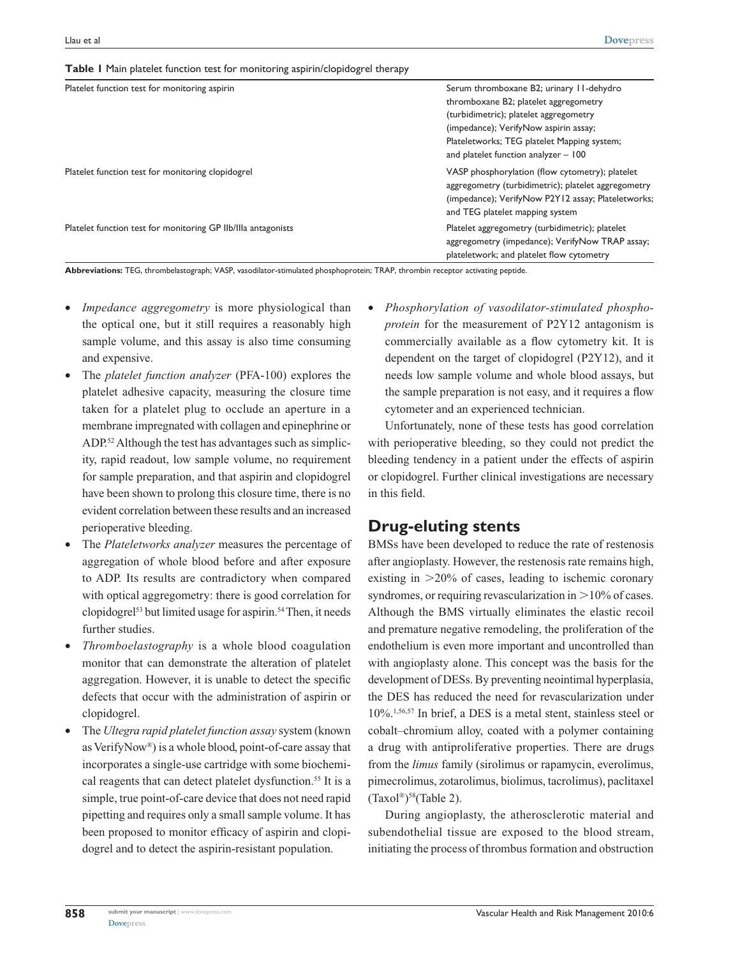**Table 1** Main platelet function test for monitoring aspirin/clopidogrel therapy

| Platelet function test for monitoring aspirin                 | Serum thromboxane B2; urinary 11-dehydro<br>thromboxane B2; platelet aggregometry<br>(turbidimetric); platelet aggregometry<br>(impedance); VerifyNow aspirin assay;<br>Plateletworks; TEG platelet Mapping system;<br>and platelet function analyzer - 100 |
|---------------------------------------------------------------|-------------------------------------------------------------------------------------------------------------------------------------------------------------------------------------------------------------------------------------------------------------|
| Platelet function test for monitoring clopidogrel             | VASP phosphorylation (flow cytometry); platelet<br>aggregometry (turbidimetric); platelet aggregometry<br>(impedance); VerifyNow P2Y12 assay; Plateletworks;<br>and TEG platelet mapping system                                                             |
| Platelet function test for monitoring GP IIb/IIIa antagonists | Platelet aggregometry (turbidimetric); platelet<br>aggregometry (impedance); VerifyNow TRAP assay;<br>plateletwork; and platelet flow cytometry                                                                                                             |

**Abbreviations:** TEG, thrombelastograph; VASP, vasodilator-stimulated phosphoprotein; TRAP, thrombin receptor activating peptide.

- *Impedance aggregometry* is more physiological than the optical one, but it still requires a reasonably high sample volume, and this assay is also time consuming and expensive.
- The *platelet function analyzer* (PFA-100) explores the platelet adhesive capacity, measuring the closure time taken for a platelet plug to occlude an aperture in a membrane impregnated with collagen and epinephrine or ADP.52 Although the test has advantages such as simplicity, rapid readout, low sample volume, no requirement for sample preparation, and that aspirin and clopidogrel have been shown to prolong this closure time, there is no evident correlation between these results and an increased perioperative bleeding.
- The *Plateletworks analyzer* measures the percentage of aggregation of whole blood before and after exposure to ADP. Its results are contradictory when compared with optical aggregometry: there is good correlation for clopidogrel<sup>53</sup> but limited usage for aspirin.<sup>54</sup> Then, it needs further studies.
- *Thromboelastography* is a whole blood coagulation monitor that can demonstrate the alteration of platelet aggregation. However, it is unable to detect the specific defects that occur with the administration of aspirin or clopidogrel.
- The *Ultegra rapid platelet function assay* system (known as VerifyNow®) is a whole blood, point-of-care assay that incorporates a single-use cartridge with some biochemical reagents that can detect platelet dysfunction.<sup>55</sup> It is a simple, true point-of-care device that does not need rapid pipetting and requires only a small sample volume. It has been proposed to monitor efficacy of aspirin and clopidogrel and to detect the aspirin-resistant population.

Phosphorylation of vasodilator-stimulated phospho*protein* for the measurement of P2Y12 antagonism is commercially available as a flow cytometry kit. It is dependent on the target of clopidogrel (P2Y12), and it needs low sample volume and whole blood assays, but the sample preparation is not easy, and it requires a flow cytometer and an experienced technician.

Unfortunately, none of these tests has good correlation with perioperative bleeding, so they could not predict the bleeding tendency in a patient under the effects of aspirin or clopidogrel. Further clinical investigations are necessary in this field.

# **Drug-eluting stents**

BMSs have been developed to reduce the rate of restenosis after angioplasty. However, the restenosis rate remains high, existing in  $>20\%$  of cases, leading to ischemic coronary syndromes, or requiring revascularization in  $>10\%$  of cases. Although the BMS virtually eliminates the elastic recoil and premature negative remodeling, the proliferation of the endothelium is even more important and uncontrolled than with angioplasty alone. This concept was the basis for the development of DESs. By preventing neointimal hyperplasia, the DES has reduced the need for revascularization under 10%.1,56,57 In brief, a DES is a metal stent, stainless steel or cobalt–chromium alloy, coated with a polymer containing a drug with antiproliferative properties. There are drugs from the *limus* family (sirolimus or rapamycin, everolimus, pimecrolimus, zotarolimus, biolimus, tacrolimus), paclitaxel  $(Taxol<sup>®</sup>)<sup>58</sup>(Table 2).$ 

During angioplasty, the atherosclerotic material and subendothelial tissue are exposed to the blood stream, initiating the process of thrombus formation and obstruction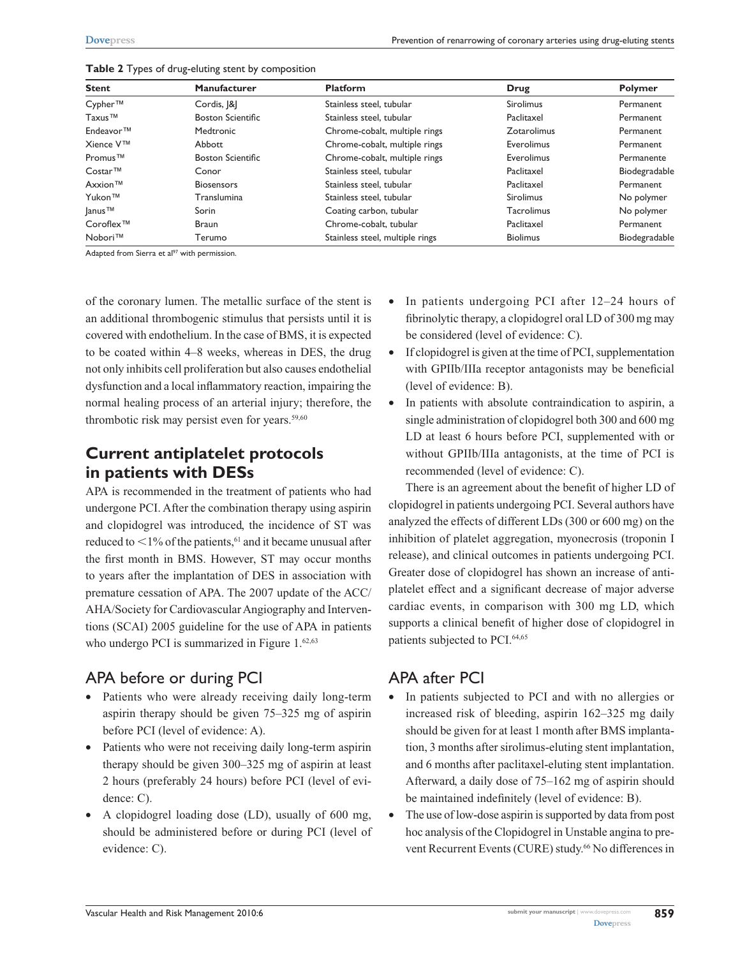| <b>Stent</b>                | <b>Manufacturer</b>      | <b>Platform</b>                 | Drug              | <b>Polymer</b> |
|-----------------------------|--------------------------|---------------------------------|-------------------|----------------|
| Cypher™                     | Cordis,  &               | Stainless steel, tubular        | Sirolimus         | Permanent      |
| Taxus <sup>™</sup>          | <b>Boston Scientific</b> | Stainless steel, tubular        | Paclitaxel        | Permanent      |
| Endeavor <sup>™</sup>       | <b>Medtronic</b>         | Chrome-cobalt, multiple rings   | Zotarolimus       | Permanent      |
| Xience V™                   | Abbott                   | Chrome-cobalt, multiple rings   | Everolimus        | Permanent      |
| Promus <sup>™</sup>         | <b>Boston Scientific</b> | Chrome-cobalt, multiple rings   | Everolimus        | Permanente     |
| Costar™                     | Conor                    | Stainless steel, tubular        | Paclitaxel        | Biodegradable  |
| Axxion™                     | <b>Biosensors</b>        | Stainless steel, tubular        | Paclitaxel        | Permanent      |
| Yukon™                      | Translumina              | Stainless steel, tubular        | <b>Sirolimus</b>  | No polymer     |
| $ {\rm{anus}}^{\text{TM}} $ | Sorin                    | Coating carbon, tubular         | <b>Tacrolimus</b> | No polymer     |
| Coroflex <sup>™</sup>       | <b>Braun</b>             | Chrome-cobalt, tubular          | Paclitaxel        | Permanent      |
| Nobori™                     | Terumo                   | Stainless steel, multiple rings | <b>Biolimus</b>   | Biodegradable  |

|  |  |  |  | Table 2 Types of drug-eluting stent by composition |
|--|--|--|--|----------------------------------------------------|
|--|--|--|--|----------------------------------------------------|

Adapted from Sierra et al<sup>97</sup> with permission.

of the coronary lumen. The metallic surface of the stent is an additional thrombogenic stimulus that persists until it is covered with endothelium. In the case of BMS, it is expected to be coated within 4–8 weeks, whereas in DES, the drug not only inhibits cell proliferation but also causes endothelial dysfunction and a local inflammatory reaction, impairing the normal healing process of an arterial injury; therefore, the thrombotic risk may persist even for years.<sup>59,60</sup>

# **Current antiplatelet protocols in patients with DESs**

APA is recommended in the treatment of patients who had undergone PCI. After the combination therapy using aspirin and clopidogrel was introduced, the incidence of ST was reduced to  $\leq$ 1% of the patients,<sup>61</sup> and it became unusual after the first month in BMS. However, ST may occur months to years after the implantation of DES in association with premature cessation of APA. The 2007 update of the ACC/ AHA/Society for Cardiovascular Angiography and Interventions (SCAI) 2005 guideline for the use of APA in patients who undergo PCI is summarized in Figure  $1.^{62,63}$ 

# APA before or during PCI

- • Patients who were already receiving daily long-term aspirin therapy should be given 75–325 mg of aspirin before PCI (level of evidence: A).
- Patients who were not receiving daily long-term aspirin therapy should be given 300–325 mg of aspirin at least 2 hours (preferably 24 hours) before PCI (level of evidence: C).
- A clopidogrel loading dose (LD), usually of 600 mg, should be administered before or during PCI (level of evidence: C).
- In patients undergoing PCI after 12–24 hours of fibrinolytic therapy, a clopidogrel oral LD of 300 mg may be considered (level of evidence: C).
- If clopidogrel is given at the time of PCI, supplementation with GPIIb/IIIa receptor antagonists may be beneficial (level of evidence: B).
- In patients with absolute contraindication to aspirin, a single administration of clopidogrel both 300 and 600 mg LD at least 6 hours before PCI, supplemented with or without GPIIb/IIIa antagonists, at the time of PCI is recommended (level of evidence: C).

There is an agreement about the benefit of higher LD of clopidogrel in patients undergoing PCI. Several authors have analyzed the effects of different LDs (300 or 600 mg) on the inhibition of platelet aggregation, myonecrosis (troponin I release), and clinical outcomes in patients undergoing PCI. Greater dose of clopidogrel has shown an increase of antiplatelet effect and a significant decrease of major adverse cardiac events, in comparison with 300 mg LD, which supports a clinical benefit of higher dose of clopidogrel in patients subjected to PCI.<sup>64,65</sup>

# APA after PCI

- • In patients subjected to PCI and with no allergies or increased risk of bleeding, aspirin 162–325 mg daily should be given for at least 1 month after BMS implantation, 3 months after sirolimus-eluting stent implantation, and 6 months after paclitaxel-eluting stent implantation. Afterward, a daily dose of 75–162 mg of aspirin should be maintained indefinitely (level of evidence: B).
- The use of low-dose aspirin is supported by data from post hoc analysis of the Clopidogrel in Unstable angina to prevent Recurrent Events (CURE) study.<sup>66</sup> No differences in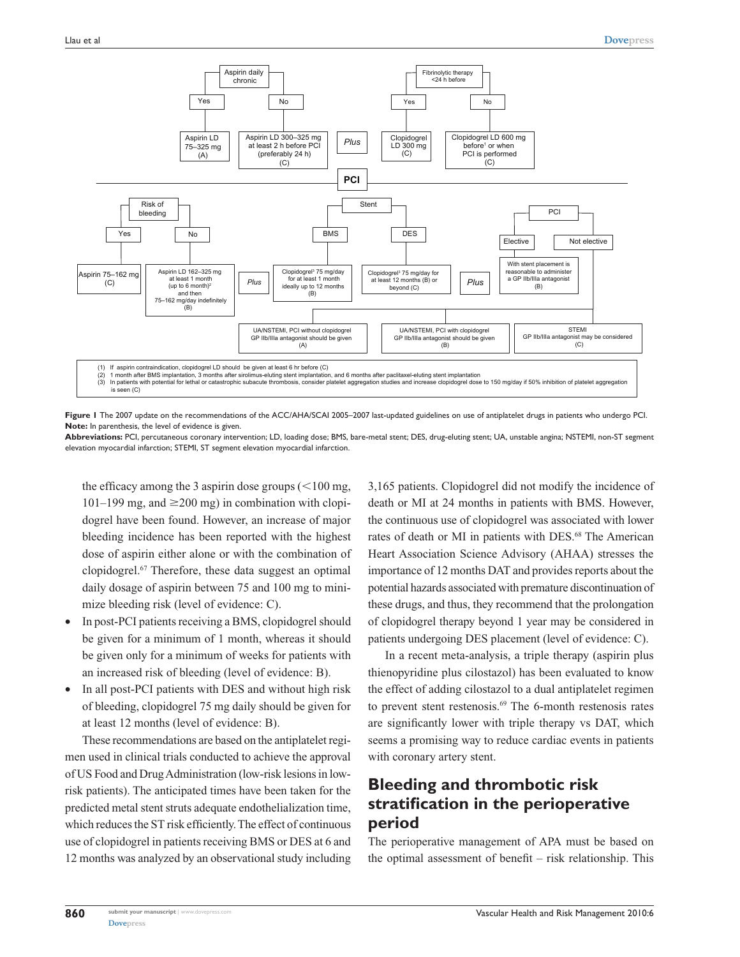

**Figure 1** The 2007 update on the recommendations of the ACC/AHA/SCAI 2005–2007 last-updated guidelines on use of antiplatelet drugs in patients who undergo PCI. **Note:** In parenthesis, the level of evidence is given.

**Abbreviations:** PCI, percutaneous coronary intervention; LD, loading dose; BMS, bare-metal stent; DES, drug-eluting stent; UA, unstable angina; NSTEMI, non-ST segment elevation myocardial infarction; STEMI, ST segment elevation myocardial infarction.

the efficacy among the 3 aspirin dose groups  $(<100$  mg,  $101-199$  mg, and  $\geq 200$  mg) in combination with clopidogrel have been found. However, an increase of major bleeding incidence has been reported with the highest dose of aspirin either alone or with the combination of clopidogrel.67 Therefore, these data suggest an optimal daily dosage of aspirin between 75 and 100 mg to minimize bleeding risk (level of evidence: C).

- In post-PCI patients receiving a BMS, clopidogrel should be given for a minimum of 1 month, whereas it should be given only for a minimum of weeks for patients with an increased risk of bleeding (level of evidence: B).
- In all post-PCI patients with DES and without high risk of bleeding, clopidogrel 75 mg daily should be given for at least 12 months (level of evidence: B).

These recommendations are based on the antiplatelet regimen used in clinical trials conducted to achieve the approval of US Food and Drug Administration (low-risk lesions in lowrisk patients). The anticipated times have been taken for the predicted metal stent struts adequate endothelialization time, which reduces the ST risk efficiently. The effect of continuous use of clopidogrel in patients receiving BMS or DES at 6 and 12 months was analyzed by an observational study including 3,165 patients. Clopidogrel did not modify the incidence of death or MI at 24 months in patients with BMS. However, the continuous use of clopidogrel was associated with lower rates of death or MI in patients with DES.<sup>68</sup> The American Heart Association Science Advisory (AHAA) stresses the importance of 12 months DAT and provides reports about the potential hazards associated with premature discontinuation of these drugs, and thus, they recommend that the prolongation of clopidogrel therapy beyond 1 year may be considered in patients undergoing DES placement (level of evidence: C).

In a recent meta-analysis, a triple therapy (aspirin plus thienopyridine plus cilostazol) has been evaluated to know the effect of adding cilostazol to a dual antiplatelet regimen to prevent stent restenosis.<sup>69</sup> The 6-month restenosis rates are significantly lower with triple therapy vs DAT, which seems a promising way to reduce cardiac events in patients with coronary artery stent.

# **Bleeding and thrombotic risk stratification in the perioperative period**

The perioperative management of APA must be based on the optimal assessment of benefit – risk relationship. This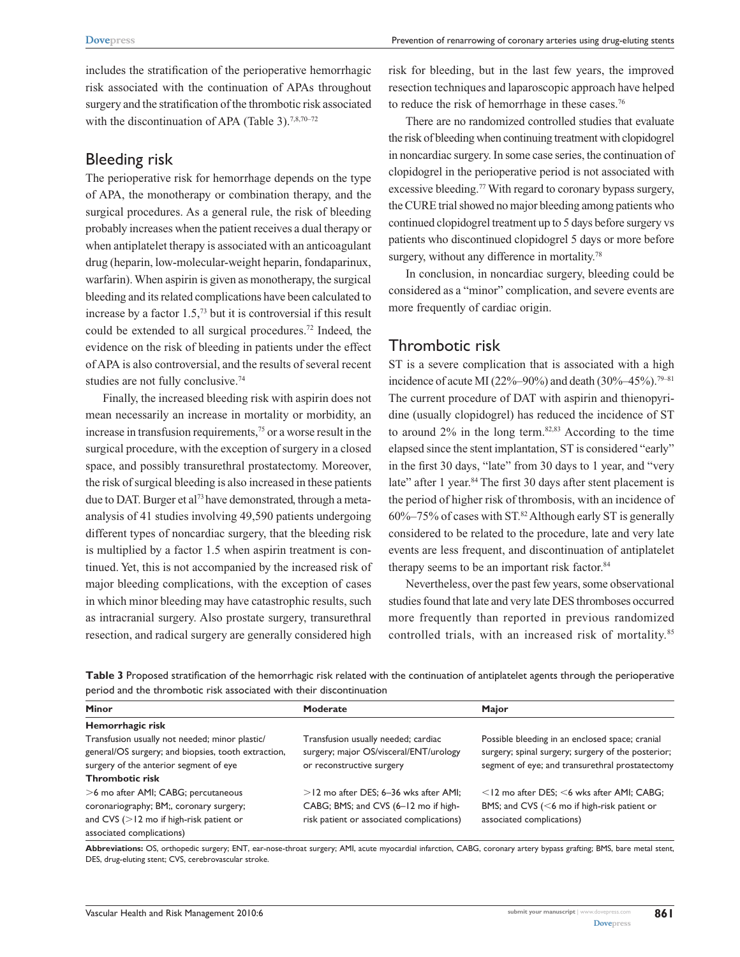includes the stratification of the perioperative hemorrhagic risk associated with the continuation of APAs throughout surgery and the stratification of the thrombotic risk associated with the discontinuation of APA (Table 3).<sup>7,8,70–72</sup>

### Bleeding risk

The perioperative risk for hemorrhage depends on the type of APA, the monotherapy or combination therapy, and the surgical procedures. As a general rule, the risk of bleeding probably increases when the patient receives a dual therapy or when antiplatelet therapy is associated with an anticoagulant drug (heparin, low-molecular-weight heparin, fondaparinux, warfarin). When aspirin is given as monotherapy, the surgical bleeding and its related complications have been calculated to increase by a factor  $1.5<sup>73</sup>$  but it is controversial if this result could be extended to all surgical procedures.72 Indeed, the evidence on the risk of bleeding in patients under the effect of APA is also controversial, and the results of several recent studies are not fully conclusive.<sup>74</sup>

Finally, the increased bleeding risk with aspirin does not mean necessarily an increase in mortality or morbidity, an increase in transfusion requirements,<sup>75</sup> or a worse result in the surgical procedure, with the exception of surgery in a closed space, and possibly transurethral prostatectomy. Moreover, the risk of surgical bleeding is also increased in these patients due to DAT. Burger et al<sup>73</sup> have demonstrated, through a metaanalysis of 41 studies involving 49,590 patients undergoing different types of noncardiac surgery, that the bleeding risk is multiplied by a factor 1.5 when aspirin treatment is continued. Yet, this is not accompanied by the increased risk of major bleeding complications, with the exception of cases in which minor bleeding may have catastrophic results, such as intracranial surgery. Also prostate surgery, transurethral resection, and radical surgery are generally considered high

risk for bleeding, but in the last few years, the improved resection techniques and laparoscopic approach have helped to reduce the risk of hemorrhage in these cases.<sup>76</sup>

There are no randomized controlled studies that evaluate the risk of bleeding when continuing treatment with clopidogrel in noncardiac surgery. In some case series, the continuation of clopidogrel in the perioperative period is not associated with excessive bleeding.<sup>77</sup> With regard to coronary bypass surgery, the CURE trial showed no major bleeding among patients who continued clopidogrel treatment up to 5 days before surgery vs patients who discontinued clopidogrel 5 days or more before surgery, without any difference in mortality.<sup>78</sup>

In conclusion, in noncardiac surgery, bleeding could be considered as a "minor" complication, and severe events are more frequently of cardiac origin.

# Thrombotic risk

ST is a severe complication that is associated with a high incidence of acute MI (22%–90%) and death (30%–45%).<sup>79–81</sup> The current procedure of DAT with aspirin and thienopyridine (usually clopidogrel) has reduced the incidence of ST to around  $2\%$  in the long term.<sup>82,83</sup> According to the time elapsed since the stent implantation, ST is considered "early" in the first 30 days, "late" from 30 days to 1 year, and "very late" after 1 year.<sup>84</sup> The first 30 days after stent placement is the period of higher risk of thrombosis, with an incidence of  $60\% - 75\%$  of cases with ST.<sup>82</sup> Although early ST is generally considered to be related to the procedure, late and very late events are less frequent, and discontinuation of antiplatelet therapy seems to be an important risk factor.<sup>84</sup>

Nevertheless, over the past few years, some observational studies found that late and very late DES thromboses occurred more frequently than reported in previous randomized controlled trials, with an increased risk of mortality.85

| <b>Minor</b>                                                                                                                                                              | Moderate                                                                                                                      | Major                                                                                                                                                    |
|---------------------------------------------------------------------------------------------------------------------------------------------------------------------------|-------------------------------------------------------------------------------------------------------------------------------|----------------------------------------------------------------------------------------------------------------------------------------------------------|
| Hemorrhagic risk                                                                                                                                                          |                                                                                                                               |                                                                                                                                                          |
| Transfusion usually not needed; minor plastic/<br>general/OS surgery; and biopsies, tooth extraction,<br>surgery of the anterior segment of eye<br><b>Thrombotic risk</b> | Transfusion usually needed; cardiac<br>surgery; major OS/visceral/ENT/urology<br>or reconstructive surgery                    | Possible bleeding in an enclosed space; cranial<br>surgery; spinal surgery; surgery of the posterior;<br>segment of eye; and transurethral prostatectomy |
| >6 mo after AMI; CABG; percutaneous<br>coronariography; BM;, coronary surgery;<br>and CVS ( $>$ 12 mo if high-risk patient or<br>associated complications)                | $>$ 12 mo after DES; 6–36 wks after AMI;<br>CABG; BMS; and CVS (6-12 mo if high-<br>risk patient or associated complications) | $<$ 12 mo after DES; $<$ 6 wks after AMI; CABG;<br>BMS; and CVS ( $<$ 6 mo if high-risk patient or<br>associated complications)                          |

**Table 3** Proposed stratification of the hemorrhagic risk related with the continuation of antiplatelet agents through the perioperative period and the thrombotic risk associated with their discontinuation

**Abbreviations:** OS, orthopedic surgery; ENT, ear-nose-throat surgery; AMI, acute myocardial infarction, CABG, coronary artery bypass grafting; BMS, bare metal stent, DES, drug-eluting stent; CVS, cerebrovascular stroke.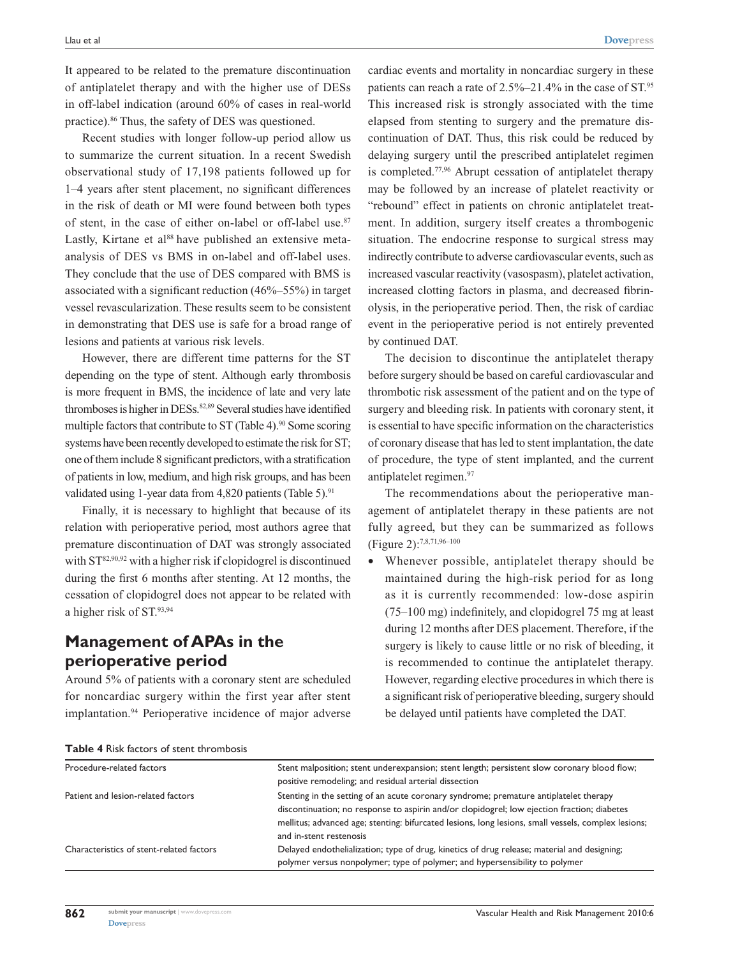It appeared to be related to the premature discontinuation of antiplatelet therapy and with the higher use of DESs in off-label indication (around 60% of cases in real-world practice).86 Thus, the safety of DES was questioned.

Recent studies with longer follow-up period allow us to summarize the current situation. In a recent Swedish observational study of 17,198 patients followed up for 1–4 years after stent placement, no significant differences in the risk of death or MI were found between both types of stent, in the case of either on-label or off-label use.<sup>87</sup> Lastly, Kirtane et al<sup>88</sup> have published an extensive metaanalysis of DES vs BMS in on-label and off-label uses. They conclude that the use of DES compared with BMS is associated with a significant reduction (46%–55%) in target vessel revascularization. These results seem to be consistent in demonstrating that DES use is safe for a broad range of lesions and patients at various risk levels.

However, there are different time patterns for the ST depending on the type of stent. Although early thrombosis is more frequent in BMS, the incidence of late and very late thromboses is higher in DESs.<sup>82,89</sup> Several studies have identified multiple factors that contribute to ST (Table 4).<sup>90</sup> Some scoring systems have been recently developed to estimate the risk for ST; one of them include 8 significant predictors, with a stratification of patients in low, medium, and high risk groups, and has been validated using 1-year data from 4,820 patients (Table 5).<sup>91</sup>

Finally, it is necessary to highlight that because of its relation with perioperative period, most authors agree that premature discontinuation of DAT was strongly associated with  $ST^{82,90,92}$  with a higher risk if clopidogrel is discontinued during the first 6 months after stenting. At 12 months, the cessation of clopidogrel does not appear to be related with a higher risk of ST.93,94

# **Management of APAs in the perioperative period**

Around 5% of patients with a coronary stent are scheduled for noncardiac surgery within the first year after stent implantation.<sup>94</sup> Perioperative incidence of major adverse cardiac events and mortality in noncardiac surgery in these patients can reach a rate of 2.5%–21.4% in the case of ST.<sup>95</sup> This increased risk is strongly associated with the time elapsed from stenting to surgery and the premature discontinuation of DAT. Thus, this risk could be reduced by delaying surgery until the prescribed antiplatelet regimen is completed.77,96 Abrupt cessation of antiplatelet therapy may be followed by an increase of platelet reactivity or "rebound" effect in patients on chronic antiplatelet treatment. In addition, surgery itself creates a thrombogenic situation. The endocrine response to surgical stress may indirectly contribute to adverse cardiovascular events, such as increased vascular reactivity (vasospasm), platelet activation, increased clotting factors in plasma, and decreased fibrinolysis, in the perioperative period. Then, the risk of cardiac event in the perioperative period is not entirely prevented by continued DAT.

The decision to discontinue the antiplatelet therapy before surgery should be based on careful cardiovascular and thrombotic risk assessment of the patient and on the type of surgery and bleeding risk. In patients with coronary stent, it is essential to have specific information on the characteristics of coronary disease that has led to stent implantation, the date of procedure, the type of stent implanted, and the current antiplatelet regimen.<sup>97</sup>

The recommendations about the perioperative management of antiplatelet therapy in these patients are not fully agreed, but they can be summarized as follows (Figure 2):7,8,71,96–100

Whenever possible, antiplatelet therapy should be maintained during the high-risk period for as long as it is currently recommended: low-dose aspirin (75–100 mg) indefinitely, and clopidogrel 75 mg at least during 12 months after DES placement. Therefore, if the surgery is likely to cause little or no risk of bleeding, it is recommended to continue the antiplatelet therapy. However, regarding elective procedures in which there is a significant risk of perioperative bleeding, surgery should be delayed until patients have completed the DAT.

|  | <b>Table 4</b> Risk factors of stent thrombosis |
|--|-------------------------------------------------|
|--|-------------------------------------------------|

| Procedure-related factors                | Stent malposition; stent underexpansion; stent length; persistent slow coronary blood flow;<br>positive remodeling; and residual arterial dissection                                                                                                                                                                   |
|------------------------------------------|------------------------------------------------------------------------------------------------------------------------------------------------------------------------------------------------------------------------------------------------------------------------------------------------------------------------|
| Patient and lesion-related factors       | Stenting in the setting of an acute coronary syndrome; premature antiplatelet therapy<br>discontinuation; no response to aspirin and/or clopidogrel; low ejection fraction; diabetes<br>mellitus; advanced age; stenting: bifurcated lesions, long lesions, small vessels, complex lesions;<br>and in-stent restenosis |
| Characteristics of stent-related factors | Delayed endothelialization; type of drug, kinetics of drug release; material and designing;<br>polymer versus nonpolymer; type of polymer; and hypersensibility to polymer                                                                                                                                             |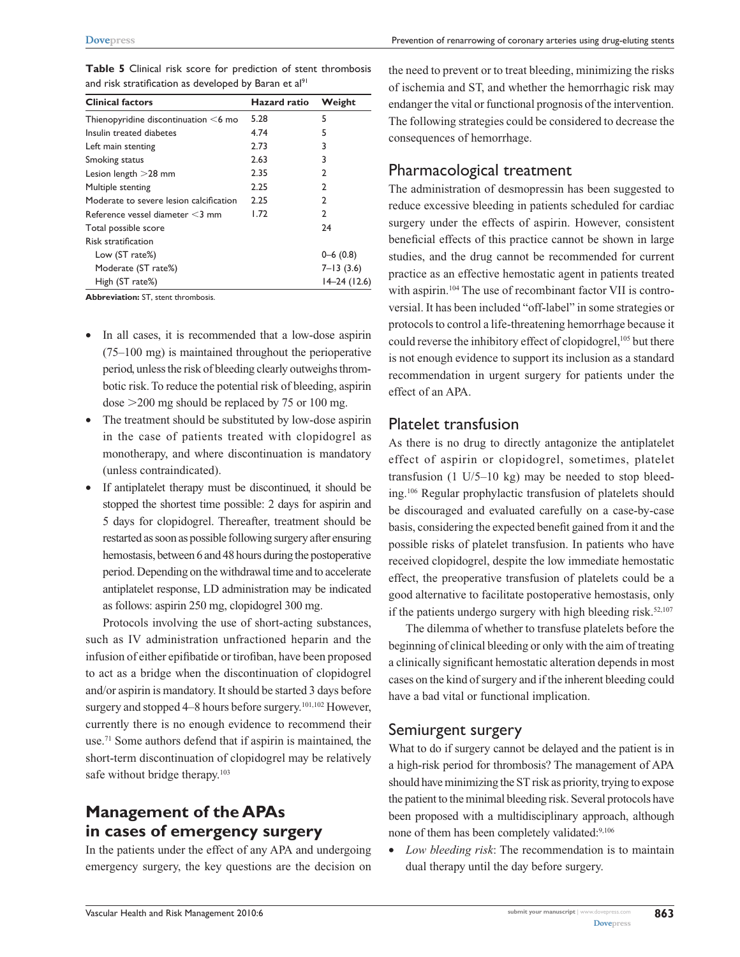Low (ST rate%) 0–6 (0.8) Moderate (ST rate%) 7–13 (3.6) High (ST rate%) 14–24 (12.6)

Multiple stenting 2.25 2 Moderate to severe lesion calcification 2.25 2 Reference vessel diameter  $<$ 3 mm  $1.72$  2 Total possible score 24

**Table 5** Clinical risk score for prediction of stent thrombosis and risk stratification as developed by Baran et al<sup>91</sup>

| <b>Abbreviation: ST, stent thrombosis.</b> |  |  |
|--------------------------------------------|--|--|
|                                            |  |  |

Risk stratification

- In all cases, it is recommended that a low-dose aspiring (75–100 mg) is maintained throughout the perioperative period, unless the risk of bleeding clearly outweighs thrombotic risk. To reduce the potential risk of bleeding, aspirin dose  $>200$  mg should be replaced by 75 or 100 mg.
- The treatment should be substituted by low-dose aspirin in the case of patients treated with clopidogrel as monotherapy, and where discontinuation is mandatory (unless contraindicated).
- If antiplatelet therapy must be discontinued, it should be stopped the shortest time possible: 2 days for aspirin and 5 days for clopidogrel. Thereafter, treatment should be restarted as soon as possible following surgery after ensuring hemostasis, between 6 and 48 hours during the postoperative period. Depending on the withdrawal time and to accelerate antiplatelet response, LD administration may be indicated as follows: aspirin 250 mg, clopidogrel 300 mg.

Protocols involving the use of short-acting substances, such as IV administration unfractioned heparin and the infusion of either epifibatide or tirofiban, have been proposed to act as a bridge when the discontinuation of clopidogrel and/or aspirin is mandatory. It should be started 3 days before surgery and stopped 4–8 hours before surgery.101,102 However, currently there is no enough evidence to recommend their use.71 Some authors defend that if aspirin is maintained, the short-term discontinuation of clopidogrel may be relatively safe without bridge therapy.<sup>103</sup>

# **Management of the APAs in cases of emergency surgery**

In the patients under the effect of any APA and undergoing emergency surgery, the key questions are the decision on the need to prevent or to treat bleeding, minimizing the risks of ischemia and ST, and whether the hemorrhagic risk may endanger the vital or functional prognosis of the intervention. The following strategies could be considered to decrease the consequences of hemorrhage.

# Pharmacological treatment

The administration of desmopressin has been suggested to reduce excessive bleeding in patients scheduled for cardiac surgery under the effects of aspirin. However, consistent beneficial effects of this practice cannot be shown in large studies, and the drug cannot be recommended for current practice as an effective hemostatic agent in patients treated with aspirin.<sup>104</sup> The use of recombinant factor VII is controversial. It has been included "off-label" in some strategies or protocols to control a life-threatening hemorrhage because it could reverse the inhibitory effect of clopidogrel,<sup>105</sup> but there is not enough evidence to support its inclusion as a standard recommendation in urgent surgery for patients under the effect of an APA.

### Platelet transfusion

As there is no drug to directly antagonize the antiplatelet effect of aspirin or clopidogrel, sometimes, platelet transfusion  $(1 \text{ U/5}-10 \text{ kg})$  may be needed to stop bleeding.106 Regular prophylactic transfusion of platelets should be discouraged and evaluated carefully on a case-by-case basis, considering the expected benefit gained from it and the possible risks of platelet transfusion. In patients who have received clopidogrel, despite the low immediate hemostatic effect, the preoperative transfusion of platelets could be a good alternative to facilitate postoperative hemostasis, only if the patients undergo surgery with high bleeding risk. $52,107$ 

The dilemma of whether to transfuse platelets before the beginning of clinical bleeding or only with the aim of treating a clinically significant hemostatic alteration depends in most cases on the kind of surgery and if the inherent bleeding could have a bad vital or functional implication.

### Semiurgent surgery

What to do if surgery cannot be delayed and the patient is in a high-risk period for thrombosis? The management of APA should have minimizing the ST risk as priority, trying to expose the patient to the minimal bleeding risk. Several protocols have been proposed with a multidisciplinary approach, although none of them has been completely validated:<sup>9,106</sup>

• *Low bleeding risk*: The recommendation is to maintain dual therapy until the day before surgery.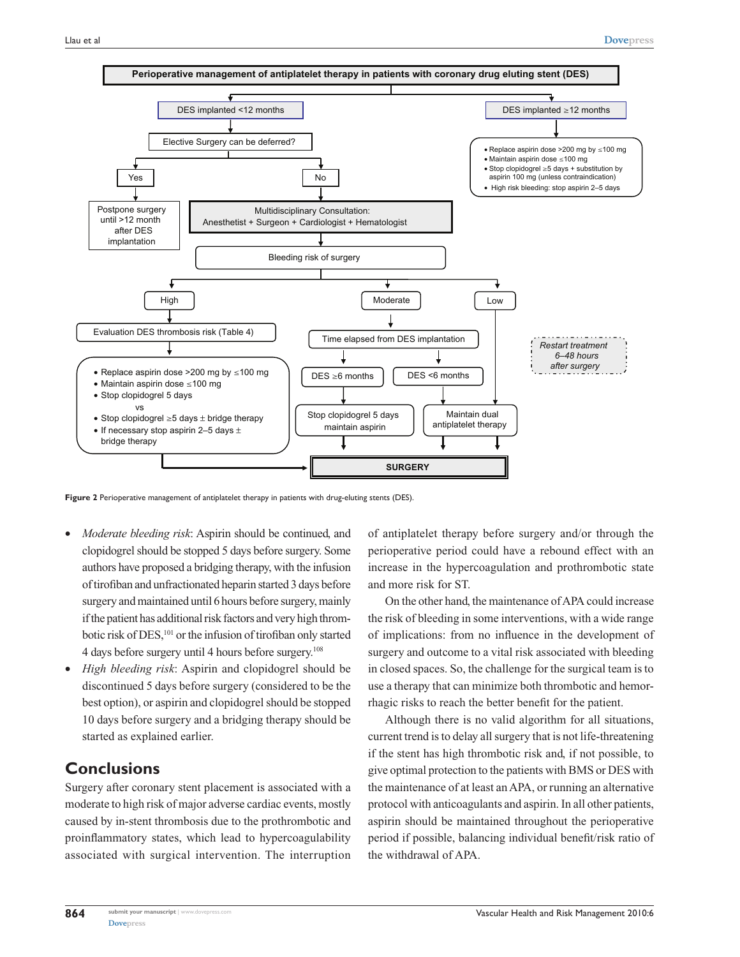

**Figure 2** Perioperative management of antiplatelet therapy in patients with drug-eluting stents (DES).

- *Moderate bleeding risk: Aspirin should be continued, and* clopidogrel should be stopped 5 days before surgery. Some authors have proposed a bridging therapy, with the infusion of tirofiban and unfractionated heparin started 3 days before surgery and maintained until 6 hours before surgery, mainly if the patient has additional risk factors and very high thrombotic risk of DES,<sup>101</sup> or the infusion of tirofiban only started 4 days before surgery until 4 hours before surgery.108
- • *High bleeding risk*: Aspirin and clopidogrel should be discontinued 5 days before surgery (considered to be the best option), or aspirin and clopidogrel should be stopped 10 days before surgery and a bridging therapy should be started as explained earlier.

# **Conclusions**

Surgery after coronary stent placement is associated with a moderate to high risk of major adverse cardiac events, mostly caused by in-stent thrombosis due to the prothrombotic and proinflammatory states, which lead to hypercoagulability associated with surgical intervention. The interruption of antiplatelet therapy before surgery and/or through the perioperative period could have a rebound effect with an increase in the hypercoagulation and prothrombotic state and more risk for ST.

On the other hand, the maintenance of APA could increase the risk of bleeding in some interventions, with a wide range of implications: from no influence in the development of surgery and outcome to a vital risk associated with bleeding in closed spaces. So, the challenge for the surgical team is to use a therapy that can minimize both thrombotic and hemorrhagic risks to reach the better benefit for the patient.

Although there is no valid algorithm for all situations, current trend is to delay all surgery that is not life-threatening if the stent has high thrombotic risk and, if not possible, to give optimal protection to the patients with BMS or DES with the maintenance of at least an APA, or running an alternative protocol with anticoagulants and aspirin. In all other patients, aspirin should be maintained throughout the perioperative period if possible, balancing individual benefit/risk ratio of the withdrawal of APA.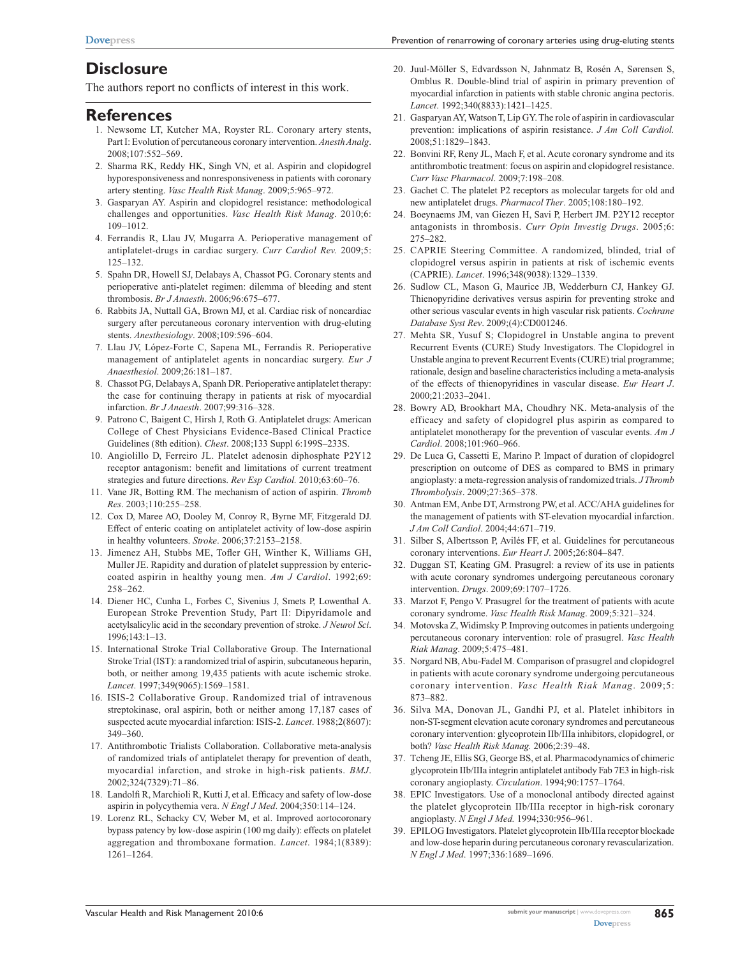# **Disclosure**

The authors report no conflicts of interest in this work.

#### **References**

- 1. Newsome LT, Kutcher MA, Royster RL. Coronary artery stents, Part I: Evolution of percutaneous coronary intervention. *Anesth Analg*. 2008;107:552–569.
- 2. Sharma RK, Reddy HK, Singh VN, et al. Aspirin and clopidogrel hyporesponsiveness and nonresponsiveness in patients with coronary artery stenting. *Vasc Health Risk Manag*. 2009;5:965–972.
- 3. Gasparyan AY. Aspirin and clopidogrel resistance: methodological challenges and opportunities. *Vasc Health Risk Manag*. 2010;6: 109–1012.
- 4. Ferrandis R, Llau JV, Mugarra A. Perioperative management of antiplatelet-drugs in cardiac surgery. *Curr Cardiol Rev.* 2009;5: 125–132.
- 5. Spahn DR, Howell SJ, Delabays A, Chassot PG. Coronary stents and perioperative anti-platelet regimen: dilemma of bleeding and stent thrombosis. *Br J Anaesth*. 2006;96:675–677.
- 6. Rabbits JA, Nuttall GA, Brown MJ, et al. Cardiac risk of noncardiac surgery after percutaneous coronary intervention with drug-eluting stents. *Anesthesiology*. 2008;109:596–604.
- 7. Llau JV, López-Forte C, Sapena ML, Ferrandis R. Perioperative management of antiplatelet agents in noncardiac surgery. *Eur J Anaesthesiol*. 2009;26:181–187.
- 8. Chassot PG, Delabays A, Spanh DR. Perioperative antiplatelet therapy: the case for continuing therapy in patients at risk of myocardial infarction. *Br J Anaesth*. 2007;99:316–328.
- 9. Patrono C, Baigent C, Hirsh J, Roth G. Antiplatelet drugs: American College of Chest Physicians Evidence-Based Clinical Practice Guidelines (8th edition). *Chest*. 2008;133 Suppl 6:199S–233S.
- 10. Angiolillo D, Ferreiro JL. Platelet adenosin diphosphate P2Y12 receptor antagonism: benefit and limitations of current treatment strategies and future directions. *Rev Esp Cardiol.* 2010;63:60–76.
- 11. Vane JR, Botting RM. The mechanism of action of aspirin. *Thromb Res*. 2003;110:255–258.
- 12. Cox D, Maree AO, Dooley M, Conroy R, Byrne MF, Fitzgerald DJ. Effect of enteric coating on antiplatelet activity of low-dose aspirin in healthy volunteers. *Stroke*. 2006;37:2153–2158.
- 13. Jimenez AH, Stubbs ME, Tofler GH, Winther K, Williams GH, Muller JE. Rapidity and duration of platelet suppression by entericcoated aspirin in healthy young men. *Am J Cardiol*. 1992;69: 258–262.
- 14. Diener HC, Cunha L, Forbes C, Sivenius J, Smets P, Lowenthal A. European Stroke Prevention Study, Part II: Dipyridamole and acetylsalicylic acid in the secondary prevention of stroke. *J Neurol Sci*. 1996;143:1–13.
- 15. International Stroke Trial Collaborative Group. The International Stroke Trial (IST): a randomized trial of aspirin, subcutaneous heparin, both, or neither among 19,435 patients with acute ischemic stroke. *Lancet*. 1997;349(9065):1569–1581.
- 16. ISIS-2 Collaborative Group. Randomized trial of intravenous streptokinase, oral aspirin, both or neither among 17,187 cases of suspected acute myocardial infarction: ISIS-2. *Lancet*. 1988;2(8607): 349–360.
- 17. Antithrombotic Trialists Collaboration. Collaborative meta-analysis of randomized trials of antiplatelet therapy for prevention of death, myocardial infarction, and stroke in high-risk patients. *BMJ*. 2002;324(7329):71–86.
- 18. Landolfi R, Marchioli R, Kutti J, et al. Efficacy and safety of low-dose aspirin in polycythemia vera. *N Engl J Med*. 2004;350:114–124.
- 19. Lorenz RL, Schacky CV, Weber M, et al. Improved aortocoronary bypass patency by low-dose aspirin (100 mg daily): effects on platelet aggregation and thromboxane formation. *Lancet*. 1984;1(8389): 1261–1264.
- 20. Juul-Möller S, Edvardsson N, Jahnmatz B, Rosén A, Sørensen S, Omblus R. Double-blind trial of aspirin in primary prevention of myocardial infarction in patients with stable chronic angina pectoris. *Lancet*. 1992;340(8833):1421–1425.
- 21. Gasparyan AY, Watson T, Lip GY. The role of aspirin in cardiovascular prevention: implications of aspirin resistance. *J Am Coll Cardiol.* 2008;51:1829–1843.
- 22. Bonvini RF, Reny JL, Mach F, et al. Acute coronary syndrome and its antithrombotic treatment: focus on aspirin and clopidogrel resistance. *Curr Vasc Pharmacol*. 2009;7:198–208.
- 23. Gachet C. The platelet P2 receptors as molecular targets for old and new antiplatelet drugs. *Pharmacol Ther*. 2005;108:180–192.
- 24. Boeynaems JM, van Giezen H, Savi P, Herbert JM. P2Y12 receptor antagonists in thrombosis. *Curr Opin Investig Drugs*. 2005;6: 275–282.
- 25. CAPRIE Steering Committee. A randomized, blinded, trial of clopidogrel versus aspirin in patients at risk of ischemic events (CAPRIE). *Lancet*. 1996;348(9038):1329–1339.
- 26. Sudlow CL, Mason G, Maurice JB, Wedderburn CJ, Hankey GJ. Thienopyridine derivatives versus aspirin for preventing stroke and other serious vascular events in high vascular risk patients. *Cochrane Database Syst Rev*. 2009;(4):CD001246.
- 27. Mehta SR, Yusuf S; Clopidogrel in Unstable angina to prevent Recurrent Events (CURE) Study Investigators. The Clopidogrel in Unstable angina to prevent Recurrent Events (CURE) trial programme; rationale, design and baseline characteristics including a meta-analysis of the effects of thienopyridines in vascular disease. *Eur Heart J*. 2000;21:2033–2041.
- 28. Bowry AD, Brookhart MA, Choudhry NK. Meta-analysis of the efficacy and safety of clopidogrel plus aspirin as compared to antiplatelet monotherapy for the prevention of vascular events. *Am J Cardiol*. 2008;101:960–966.
- 29. De Luca G, Cassetti E, Marino P. Impact of duration of clopidogrel prescription on outcome of DES as compared to BMS in primary angioplasty: a meta-regression analysis of randomized trials. *J Thromb Thrombolysis*. 2009;27:365–378.
- 30. Antman EM, Anbe DT, Armstrong PW, et al. ACC/AHA guidelines for the management of patients with ST-elevation myocardial infarction. *J Am Coll Cardiol*. 2004;44:671–719.
- 31. Silber S, Albertsson P, Avilés FF, et al. Guidelines for percutaneous coronary interventions. *Eur Heart J*. 2005;26:804–847.
- 32. Duggan ST, Keating GM. Prasugrel: a review of its use in patients with acute coronary syndromes undergoing percutaneous coronary intervention. *Drugs*. 2009;69:1707–1726.
- 33. Marzot F, Pengo V. Prasugrel for the treatment of patients with acute coronary syndrome. *Vasc Health Risk Manag*. 2009;5:321–324.
- 34. Motovska Z, Widimsky P. Improving outcomes in patients undergoing percutaneous coronary intervention: role of prasugrel. *Vasc Health Riak Manag*. 2009;5:475–481.
- 35. Norgard NB, Abu-Fadel M. Comparison of prasugrel and clopidogrel in patients with acute coronary syndrome undergoing percutaneous coronary intervention. *Vasc Health Riak Manag*. 2009;5: 873–882.
- 36. Silva MA, Donovan JL, Gandhi PJ, et al. Platelet inhibitors in non-ST-segment elevation acute coronary syndromes and percutaneous coronary intervention: glycoprotein IIb/IIIa inhibitors, clopidogrel, or both? *Vasc Health Risk Manag.* 2006;2:39–48.
- 37. Tcheng JE, Ellis SG, George BS, et al. Pharmacodynamics of chimeric glycoprotein IIb/IIIa integrin antiplatelet antibody Fab 7E3 in high-risk coronary angioplasty. *Circulation*. 1994;90:1757–1764.
- 38. EPIC Investigators. Use of a monoclonal antibody directed against the platelet glycoprotein IIb/IIIa receptor in high-risk coronary angioplasty. *N Engl J Med.* 1994;330:956–961.
- 39. EPILOG Investigators. Platelet glycoprotein IIb/IIIa receptor blockade and low-dose heparin during percutaneous coronary revascularization. *N Engl J Med*. 1997;336:1689–1696.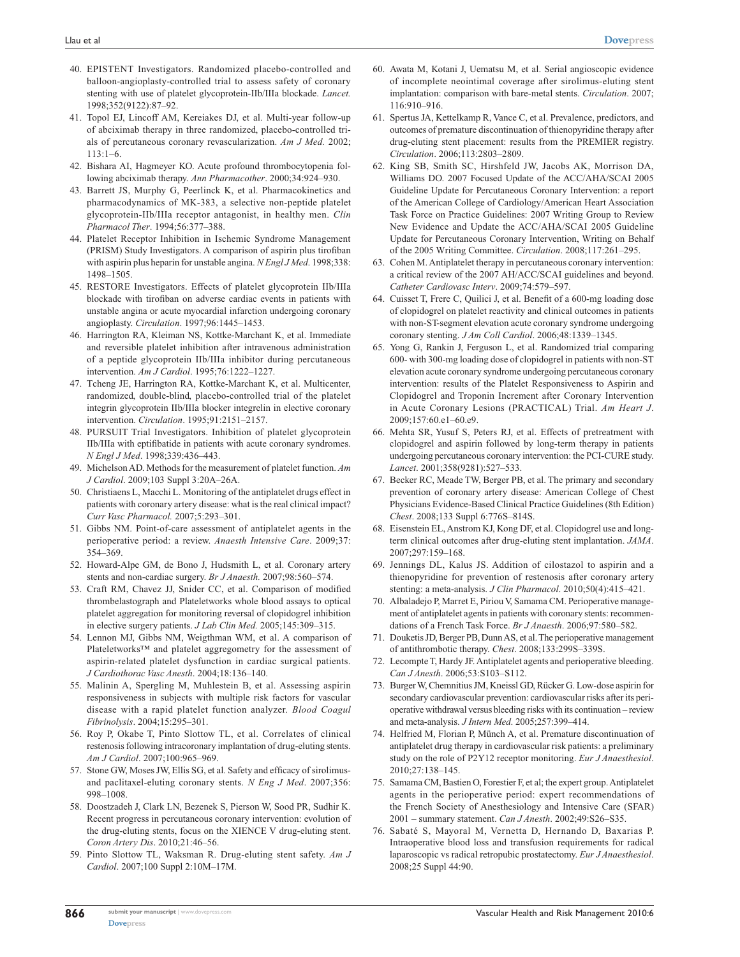- 40. EPISTENT Investigators. Randomized placebo-controlled and balloon-angioplasty-controlled trial to assess safety of coronary stenting with use of platelet glycoprotein-IIb/IIIa blockade. *Lancet.* 1998;352(9122):87–92.
- 41. Topol EJ, Lincoff AM, Kereiakes DJ, et al. Multi-year follow-up of abciximab therapy in three randomized, placebo-controlled trials of percutaneous coronary revascularization. *Am J Med.* 2002; 113:1–6.
- 42. Bishara AI, Hagmeyer KO. Acute profound thrombocytopenia following abciximab therapy. *Ann Pharmacother*. 2000;34:924–930.
- 43. Barrett JS, Murphy G, Peerlinck K, et al. Pharmacokinetics and pharmacodynamics of MK-383, a selective non-peptide platelet glycoprotein-IIb/IIIa receptor antagonist, in healthy men. *Clin Pharmacol Ther*. 1994;56:377–388.
- 44. Platelet Receptor Inhibition in Ischemic Syndrome Management (PRISM) Study Investigators. A comparison of aspirin plus tirofiban with aspirin plus heparin for unstable angina. *N Engl J Med*. 1998;338: 1498–1505.
- 45. RESTORE Investigators. Effects of platelet glycoprotein IIb/IIIa blockade with tirofiban on adverse cardiac events in patients with unstable angina or acute myocardial infarction undergoing coronary angioplasty. *Circulation*. 1997;96:1445–1453.
- 46. Harrington RA, Kleiman NS, Kottke-Marchant K, et al. Immediate and reversible platelet inhibition after intravenous administration of a peptide glycoprotein IIb/IIIa inhibitor during percutaneous intervention. *Am J Cardiol*. 1995;76:1222–1227.
- 47. Tcheng JE, Harrington RA, Kottke-Marchant K, et al. Multicenter, randomized, double-blind, placebo-controlled trial of the platelet integrin glycoprotein IIb/IIIa blocker integrelin in elective coronary intervention. *Circulation*. 1995;91:2151–2157.
- 48. PURSUIT Trial Investigators. Inhibition of platelet glycoprotein IIb/IIIa with eptifibatide in patients with acute coronary syndromes. *N Engl J Med*. 1998;339:436–443.
- 49. Michelson AD. Methods for the measurement of platelet function. *Am J Cardiol*. 2009;103 Suppl 3:20A–26A.
- 50. Christiaens L, Macchi L. Monitoring of the antiplatelet drugs effect in patients with coronary artery disease: what is the real clinical impact? *Curr Vasc Pharmacol.* 2007;5:293–301.
- 51. Gibbs NM. Point-of-care assessment of antiplatelet agents in the perioperative period: a review. *Anaesth Intensive Care*. 2009;37: 354–369.
- 52. Howard-Alpe GM, de Bono J, Hudsmith L, et al. Coronary artery stents and non-cardiac surgery. *Br J Anaesth.* 2007;98:560–574.
- 53. Craft RM, Chavez JJ, Snider CC, et al. Comparison of modified thrombelastograph and Plateletworks whole blood assays to optical platelet aggregation for monitoring reversal of clopidogrel inhibition in elective surgery patients. *J Lab Clin Med.* 2005;145:309–315.
- 54. Lennon MJ, Gibbs NM, Weigthman WM, et al. A comparison of Plateletworks™ and platelet aggregometry for the assessment of aspirin-related platelet dysfunction in cardiac surgical patients. *J Cardiothorac Vasc Anesth*. 2004;18:136–140.
- 55. Malinin A, Spergling M, Muhlestein B, et al. Assessing aspirin responsiveness in subjects with multiple risk factors for vascular disease with a rapid platelet function analyzer. *Blood Coagul Fibrinolysis*. 2004;15:295–301.
- 56. Roy P, Okabe T, Pinto Slottow TL, et al. Correlates of clinical restenosis following intracoronary implantation of drug-eluting stents. *Am J Cardiol*. 2007;100:965–969.
- 57. Stone GW, Moses JW, Ellis SG, et al. Safety and efficacy of sirolimusand paclitaxel-eluting coronary stents. *N Eng J Med*. 2007;356: 998–1008.
- 58. Doostzadeh J, Clark LN, Bezenek S, Pierson W, Sood PR, Sudhir K. Recent progress in percutaneous coronary intervention: evolution of the drug-eluting stents, focus on the XIENCE V drug-eluting stent. *Coron Artery Dis*. 2010;21:46–56.
- 59. Pinto Slottow TL, Waksman R. Drug-eluting stent safety. *Am J Cardiol*. 2007;100 Suppl 2:10M–17M.
- 60. Awata M, Kotani J, Uematsu M, et al. Serial angioscopic evidence of incomplete neointimal coverage after sirolimus-eluting stent implantation: comparison with bare-metal stents. *Circulation*. 2007; 116:910–916.
- 61. Spertus JA, Kettelkamp R, Vance C, et al. Prevalence, predictors, and outcomes of premature discontinuation of thienopyridine therapy after drug-eluting stent placement: results from the PREMIER registry. *Circulation*. 2006;113:2803–2809.
- 62. King SB, Smith SC, Hirshfeld JW, Jacobs AK, Morrison DA, Williams DO. 2007 Focused Update of the ACC/AHA/SCAI 2005 Guideline Update for Percutaneous Coronary Intervention: a report of the American College of Cardiology/American Heart Association Task Force on Practice Guidelines: 2007 Writing Group to Review New Evidence and Update the ACC/AHA/SCAI 2005 Guideline Update for Percutaneous Coronary Intervention, Writing on Behalf of the 2005 Writing Committee. *Circulation*. 2008;117:261–295.
- 63. Cohen M. Antiplatelet therapy in percutaneous coronary intervention: a critical review of the 2007 AH/ACC/SCAI guidelines and beyond. *Catheter Cardiovasc Interv*. 2009;74:579–597.
- 64. Cuisset T, Frere C, Quilici J, et al. Benefit of a 600-mg loading dose of clopidogrel on platelet reactivity and clinical outcomes in patients with non-ST-segment elevation acute coronary syndrome undergoing coronary stenting. *J Am Coll Cardiol*. 2006;48:1339–1345.
- 65. Yong G, Rankin J, Ferguson L, et al. Randomized trial comparing 600- with 300-mg loading dose of clopidogrel in patients with non-ST elevation acute coronary syndrome undergoing percutaneous coronary intervention: results of the Platelet Responsiveness to Aspirin and Clopidogrel and Troponin Increment after Coronary Intervention in Acute Coronary Lesions (PRACTICAL) Trial. *Am Heart J*. 2009;157:60.e1–60.e9.
- 66. Mehta SR, Yusuf S, Peters RJ, et al. Effects of pretreatment with clopidogrel and aspirin followed by long-term therapy in patients undergoing percutaneous coronary intervention: the PCI-CURE study. *Lancet*. 2001;358(9281):527–533.
- 67. Becker RC, Meade TW, Berger PB, et al. The primary and secondary prevention of coronary artery disease: American College of Chest Physicians Evidence-Based Clinical Practice Guidelines (8th Edition) *Chest*. 2008;133 Suppl 6:776S–814S.
- 68. Eisenstein EL, Anstrom KJ, Kong DF, et al. Clopidogrel use and longterm clinical outcomes after drug-eluting stent implantation. *JAMA*. 2007;297:159–168.
- 69. Jennings DL, Kalus JS. Addition of cilostazol to aspirin and a thienopyridine for prevention of restenosis after coronary artery stenting: a meta-analysis. *J Clin Pharmacol*. 2010;50(4):415–421.
- 70. Albaladejo P, Marret E, Piriou V, Samama CM. Perioperative management of antiplatelet agents in patients with coronary stents: recommendations of a French Task Force. *Br J Anaesth*. 2006;97:580–582.
- 71. Douketis JD, Berger PB, Dunn AS, et al. The perioperative management of antithrombotic therapy. *Chest*. 2008;133:299S–339S.
- 72. Lecompte T, Hardy JF. Antiplatelet agents and perioperative bleeding. *Can J Anesth*. 2006;53:S103–S112.
- 73. Burger W, Chemnitius JM, Kneissl GD, Rücker G. Low-dose aspirin for secondary cardiovascular prevention: cardiovascular risks after its perioperative withdrawal versus bleeding risks with its continuation – review and meta-analysis. *J Intern Med*. 2005;257:399–414.
- 74. Helfried M, Florian P, Münch A, et al. Premature discontinuation of antiplatelet drug therapy in cardiovascular risk patients: a preliminary study on the role of P2Y12 receptor monitoring. *Eur J Anaesthesiol*. 2010;27:138–145.
- 75. Samama CM, Bastien O, Forestier F, et al; the expert group. Antiplatelet agents in the perioperative period: expert recommendations of the French Society of Anesthesiology and Intensive Care (SFAR) 2001 – summary statement. *Can J Anesth*. 2002;49:S26–S35.
- 76. Sabaté S, Mayoral M, Vernetta D, Hernando D, Baxarias P. Intraoperative blood loss and transfusion requirements for radical laparoscopic vs radical retropubic prostatectomy. *Eur J Anaesthesiol*. 2008;25 Suppl 44:90.